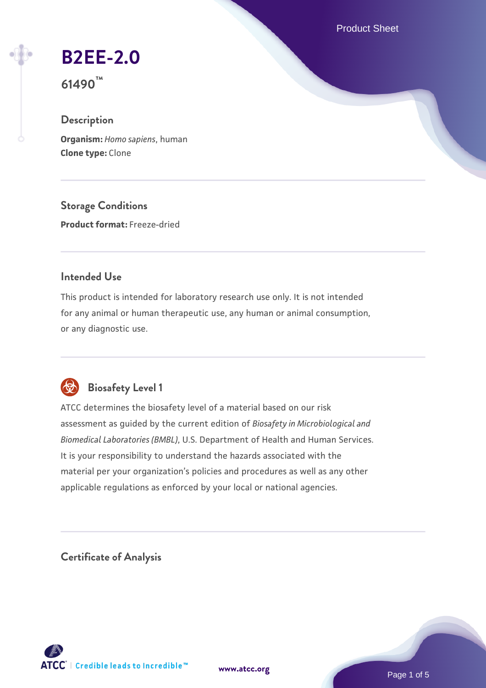Product Sheet

# **[B2EE-2.0](https://www.atcc.org/products/61490)**

**61490™**

# **Description**

**Organism:** *Homo sapiens*, human **Clone type:** Clone

**Storage Conditions Product format:** Freeze-dried

#### **Intended Use**

This product is intended for laboratory research use only. It is not intended for any animal or human therapeutic use, any human or animal consumption, or any diagnostic use.



# **Biosafety Level 1**

ATCC determines the biosafety level of a material based on our risk assessment as guided by the current edition of *Biosafety in Microbiological and Biomedical Laboratories (BMBL)*, U.S. Department of Health and Human Services. It is your responsibility to understand the hazards associated with the material per your organization's policies and procedures as well as any other applicable regulations as enforced by your local or national agencies.

**Certificate of Analysis**

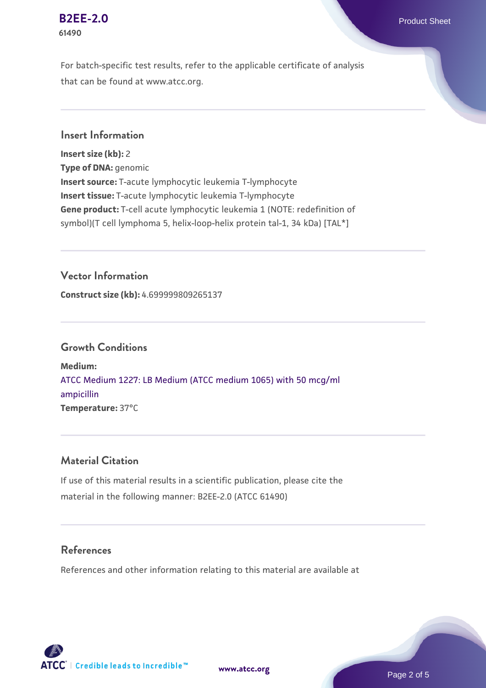#### **[B2EE-2.0](https://www.atcc.org/products/61490)** Product Sheet **61490**

For batch-specific test results, refer to the applicable certificate of analysis that can be found at www.atcc.org.

#### **Insert Information**

**Insert size (kb):** 2 **Type of DNA:** genomic **Insert source:** T-acute lymphocytic leukemia T-lymphocyte **Insert tissue:** T-acute lymphocytic leukemia T-lymphocyte **Gene product:** T-cell acute lymphocytic leukemia 1 (NOTE: redefinition of symbol)(T cell lymphoma 5, helix-loop-helix protein tal-1, 34 kDa) [TAL\*]

## **Vector Information**

**Construct size (kb):** 4.699999809265137

#### **Growth Conditions**

**Medium:**  [ATCC Medium 1227: LB Medium \(ATCC medium 1065\) with 50 mcg/ml](https://www.atcc.org/-/media/product-assets/documents/microbial-media-formulations/1/2/2/7/atcc-medium-1227.pdf?rev=581c98603b3e4b29a6d62ee0ba9ca578) [ampicillin](https://www.atcc.org/-/media/product-assets/documents/microbial-media-formulations/1/2/2/7/atcc-medium-1227.pdf?rev=581c98603b3e4b29a6d62ee0ba9ca578) **Temperature:** 37°C

#### **Material Citation**

If use of this material results in a scientific publication, please cite the material in the following manner: B2EE-2.0 (ATCC 61490)

#### **References**

References and other information relating to this material are available at



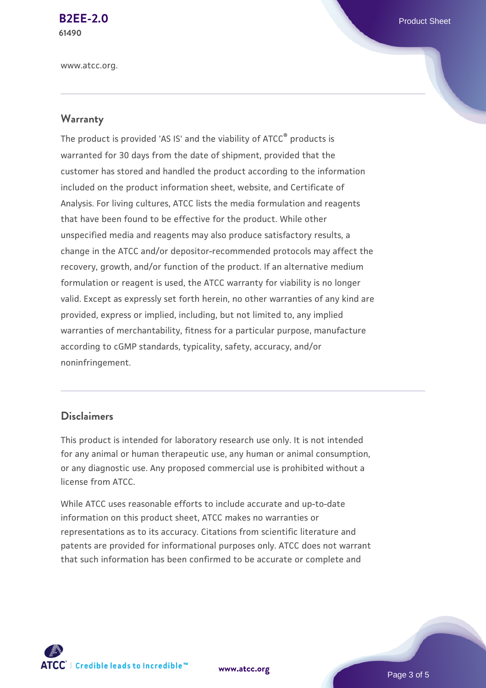**[B2EE-2.0](https://www.atcc.org/products/61490)** Product Sheet **61490**

www.atcc.org.

#### **Warranty**

The product is provided 'AS IS' and the viability of ATCC® products is warranted for 30 days from the date of shipment, provided that the customer has stored and handled the product according to the information included on the product information sheet, website, and Certificate of Analysis. For living cultures, ATCC lists the media formulation and reagents that have been found to be effective for the product. While other unspecified media and reagents may also produce satisfactory results, a change in the ATCC and/or depositor-recommended protocols may affect the recovery, growth, and/or function of the product. If an alternative medium formulation or reagent is used, the ATCC warranty for viability is no longer valid. Except as expressly set forth herein, no other warranties of any kind are provided, express or implied, including, but not limited to, any implied warranties of merchantability, fitness for a particular purpose, manufacture according to cGMP standards, typicality, safety, accuracy, and/or noninfringement.

#### **Disclaimers**

This product is intended for laboratory research use only. It is not intended for any animal or human therapeutic use, any human or animal consumption, or any diagnostic use. Any proposed commercial use is prohibited without a license from ATCC.

While ATCC uses reasonable efforts to include accurate and up-to-date information on this product sheet, ATCC makes no warranties or representations as to its accuracy. Citations from scientific literature and patents are provided for informational purposes only. ATCC does not warrant that such information has been confirmed to be accurate or complete and



**[www.atcc.org](http://www.atcc.org)**

Page 3 of 5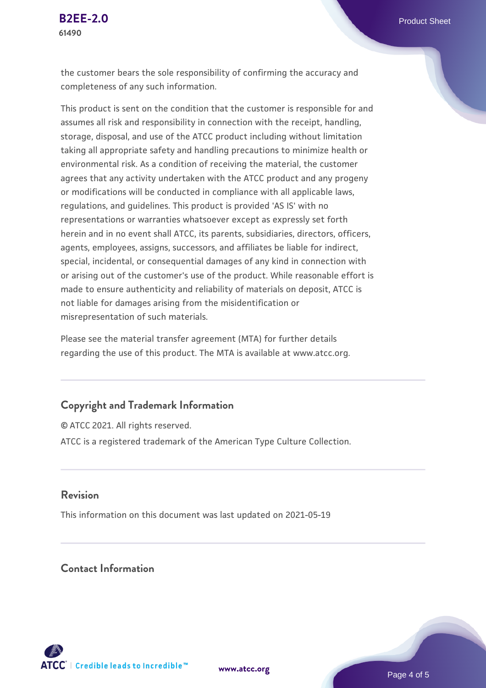the customer bears the sole responsibility of confirming the accuracy and completeness of any such information.

This product is sent on the condition that the customer is responsible for and assumes all risk and responsibility in connection with the receipt, handling, storage, disposal, and use of the ATCC product including without limitation taking all appropriate safety and handling precautions to minimize health or environmental risk. As a condition of receiving the material, the customer agrees that any activity undertaken with the ATCC product and any progeny or modifications will be conducted in compliance with all applicable laws, regulations, and guidelines. This product is provided 'AS IS' with no representations or warranties whatsoever except as expressly set forth herein and in no event shall ATCC, its parents, subsidiaries, directors, officers, agents, employees, assigns, successors, and affiliates be liable for indirect, special, incidental, or consequential damages of any kind in connection with or arising out of the customer's use of the product. While reasonable effort is made to ensure authenticity and reliability of materials on deposit, ATCC is not liable for damages arising from the misidentification or misrepresentation of such materials.

Please see the material transfer agreement (MTA) for further details regarding the use of this product. The MTA is available at www.atcc.org.

#### **Copyright and Trademark Information**

© ATCC 2021. All rights reserved. ATCC is a registered trademark of the American Type Culture Collection.

#### **Revision**

This information on this document was last updated on 2021-05-19

## **Contact Information**